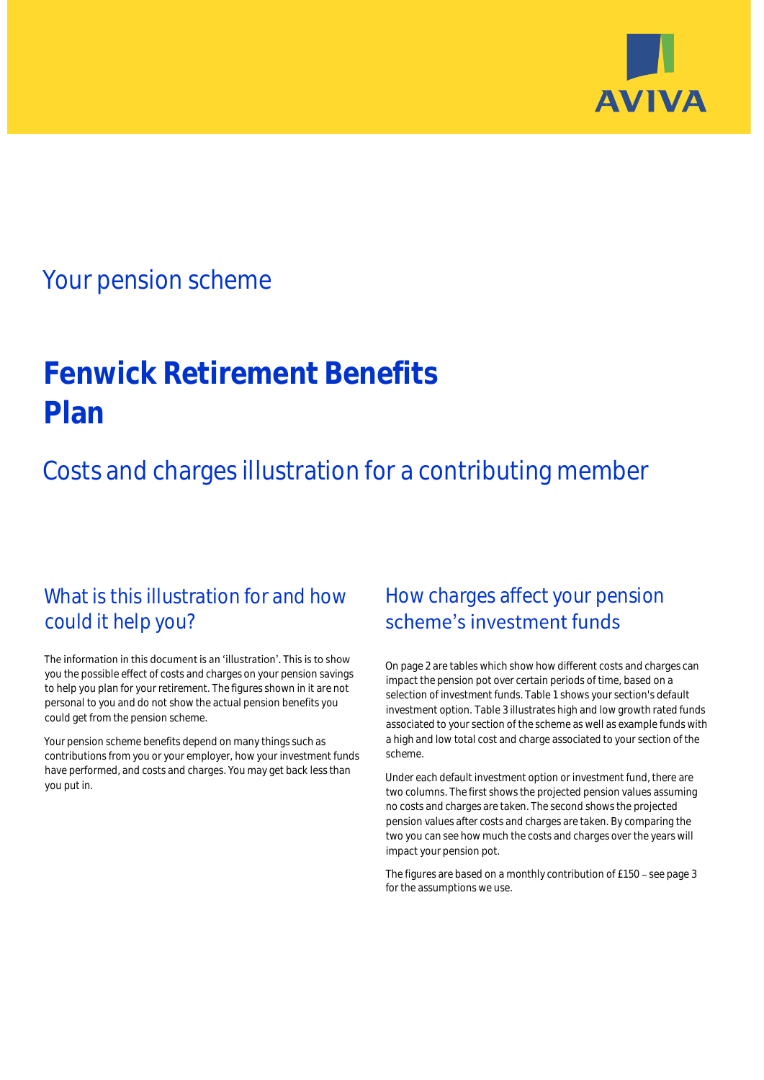

## Your pension scheme

# **Fenwick Retirement Benefits Plan**

Costs and charges illustration for a contributing member

### What is this illustration for and how could it help you?

#### The information in this document is an 'illustration'. This is to show you the possible effect of costs and charges on your pension savings to help you plan for your retirement. The figures shown in it are not personal to you and do not show the actual pension benefits you could get from the pension scheme.

Your pension scheme benefits depend on many things such as contributions from you or your employer, how your investment funds have performed, and costs and charges. You may get back less than you put in.

### How charges affect your pension scheme's investment funds

On page 2 are tables which show how different costs and charges can impact the pension pot over certain periods of time, based on a selection of investment funds. Table 1 shows your section's default investment option. Table 3 illustrates high and low growth rated funds associated to your section of the scheme as well as example funds with a high and low total cost and charge associated to your section of the scheme.

Under each default investment option or investment fund, there are two columns. The first shows the projected pension values assuming no costs and charges are taken. The second shows the projected pension values after costs and charges are taken. By comparing the two you can see how much the costs and charges over the years will impact your pension pot.

The figures are based on a monthly contribution of £150 - see page 3 for the assumptions we use.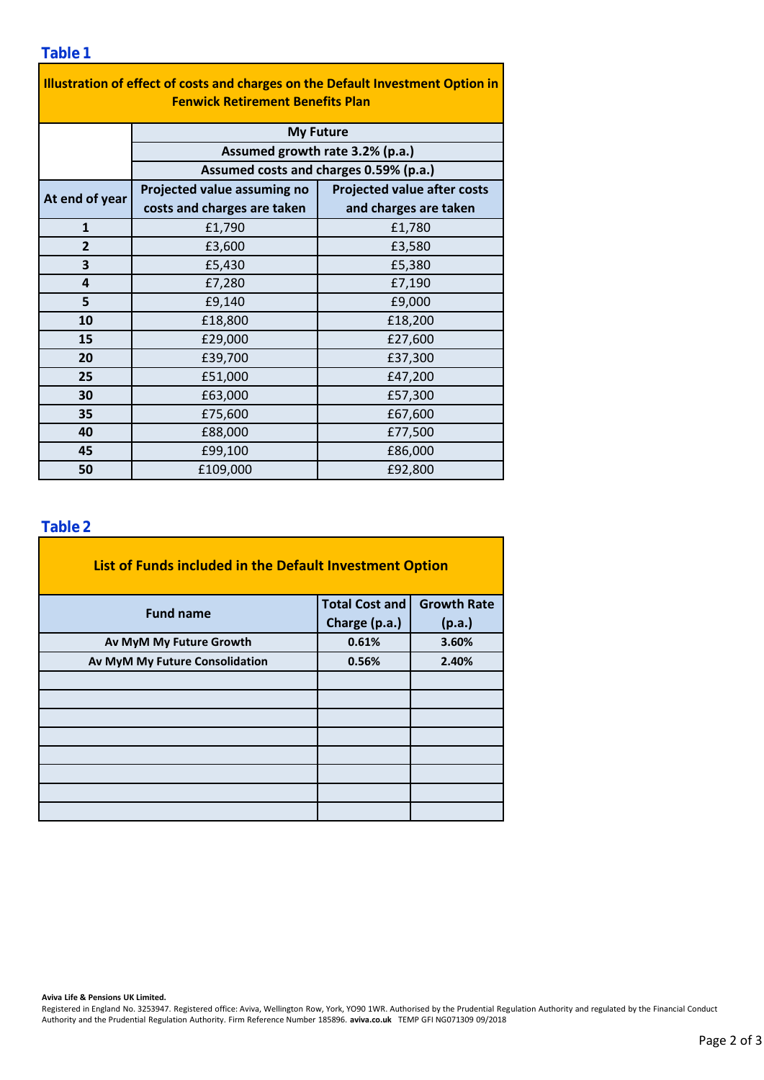| Illustration of effect of costs and charges on the Default Investment Option in |                                                                                               |                                    |  |  |  |  |  |  |  |
|---------------------------------------------------------------------------------|-----------------------------------------------------------------------------------------------|------------------------------------|--|--|--|--|--|--|--|
| <b>Fenwick Retirement Benefits Plan</b>                                         |                                                                                               |                                    |  |  |  |  |  |  |  |
|                                                                                 | <b>My Future</b><br>Assumed growth rate 3.2% (p.a.)<br>Assumed costs and charges 0.59% (p.a.) |                                    |  |  |  |  |  |  |  |
|                                                                                 |                                                                                               |                                    |  |  |  |  |  |  |  |
|                                                                                 |                                                                                               |                                    |  |  |  |  |  |  |  |
| At end of year                                                                  | Projected value assuming no                                                                   | <b>Projected value after costs</b> |  |  |  |  |  |  |  |
|                                                                                 | costs and charges are taken                                                                   | and charges are taken              |  |  |  |  |  |  |  |
| $\mathbf{1}$                                                                    | £1,790                                                                                        | £1,780                             |  |  |  |  |  |  |  |
| $\overline{2}$                                                                  | £3,600                                                                                        | £3,580                             |  |  |  |  |  |  |  |
| 3                                                                               | £5,430                                                                                        | £5,380                             |  |  |  |  |  |  |  |
| 4                                                                               | £7,280                                                                                        | £7,190                             |  |  |  |  |  |  |  |
| 5                                                                               | £9,140                                                                                        | £9,000                             |  |  |  |  |  |  |  |
| 10                                                                              | £18,800                                                                                       | £18,200                            |  |  |  |  |  |  |  |
| 15                                                                              | £29,000                                                                                       | £27,600                            |  |  |  |  |  |  |  |
| 20                                                                              | £39,700                                                                                       | £37,300                            |  |  |  |  |  |  |  |
| 25                                                                              | £51,000                                                                                       | £47,200                            |  |  |  |  |  |  |  |
| 30                                                                              | £63,000                                                                                       | £57,300                            |  |  |  |  |  |  |  |
| 35                                                                              | £75,600                                                                                       | £67,600                            |  |  |  |  |  |  |  |
| 40                                                                              | £88,000                                                                                       | £77,500                            |  |  |  |  |  |  |  |
| 45                                                                              | £99,100                                                                                       | £86,000                            |  |  |  |  |  |  |  |
| 50                                                                              | £109,000                                                                                      | £92,800                            |  |  |  |  |  |  |  |

### **Table 2**

| List of Funds included in the Default Investment Option |                       |                    |  |  |
|---------------------------------------------------------|-----------------------|--------------------|--|--|
| <b>Fund name</b>                                        | <b>Total Cost and</b> | <b>Growth Rate</b> |  |  |
|                                                         | Charge (p.a.)         | (p.a.)             |  |  |
| Av MyM My Future Growth                                 | 0.61%                 | 3.60%              |  |  |
| Av MyM My Future Consolidation                          | 0.56%                 | 2.40%              |  |  |
|                                                         |                       |                    |  |  |
|                                                         |                       |                    |  |  |
|                                                         |                       |                    |  |  |
|                                                         |                       |                    |  |  |
|                                                         |                       |                    |  |  |
|                                                         |                       |                    |  |  |
|                                                         |                       |                    |  |  |
|                                                         |                       |                    |  |  |

#### **Aviva Life & Pensions UK Limited.**

Registered in England No. 3253947. Registered office: Aviva, Wellington Row, York, YO90 1WR. Authorised by the Prudential Regulation Authority and regulated by the Financial Conduct Authority and the Prudential Regulation Authority. Firm Reference Number 185896. **aviva.co.uk** TEMP GFI NG071309 09/2018